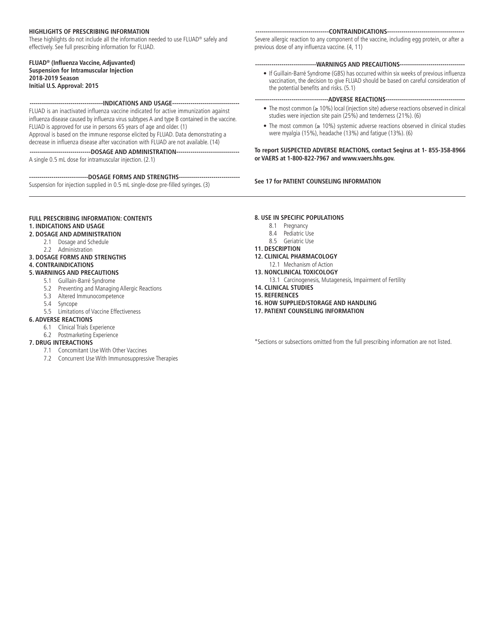### **HIGHLIGHTS OF PRESCRIBING INFORMATION**

These highlights do not include all the information needed to use FLUAD® safely and effectively. See full prescribing information for FLUAD.

### **FLUAD® (Influenza Vaccine, Adjuvanted) Suspension for Intramuscular Injection 2018-2019 Season Initial U.S. Approval: 2015**

# **------------------------------------INDICATIONS AND USAGE---------------------------------**

FLUAD is an inactivated influenza vaccine indicated for active immunization against influenza disease caused by influenza virus subtypes A and type B contained in the vaccine. FLUAD is approved for use in persons 65 years of age and older. (1) Approval is based on the immune response elicited by FLUAD. Data demonstrating a decrease in influenza disease after vaccination with FLUAD are not available. (14)

**------------------------------DOSAGE AND ADMINISTRATION-------------------------------** A single 0.5 mL dose for intramuscular injection. (2.1)

**-----------------------------DOSAGE FORMS AND STRENGTHS------------------------------**

Suspension for injection supplied in 0.5 mL single-dose pre-filled syringes. (3)

#### **------------------------------------CONTRAINDICATIONS--------------------------------------**

Severe allergic reaction to any component of the vaccine, including egg protein, or after a previous dose of any influenza vaccine. (4, 11)

### **------------------------------WARNINGS AND PRECAUTIONS--------------------------------**

• If Guillain-Barré Syndrome (GBS) has occurred within six weeks of previous influenza vaccination, the decision to give FLUAD should be based on careful consideration of the potential benefits and risks. (5.1)

# **------------------------------------ADVERSE REACTIONS---------------------------------------**

- The most common (≥ 10%) local (injection site) adverse reactions observed in clinical studies were injection site pain (25%) and tenderness (21%). (6)
- The most common (≥ 10%) systemic adverse reactions observed in clinical studies were myalgia (15%), headache (13%) and fatigue (13%). (6)

**To report SUSPECTED ADVERSE REACTIONS, contact Seqirus at 1- 855-358-8966 or VAERS at 1-800-822-7967 and www.vaers.hhs.gov.**

### **See 17 for PATIENT COUNSELING INFORMATION**

# **FULL PRESCRIBING INFORMATION: CONTENTS 1. INDICATIONS AND USAGE**

#### **2. DOSAGE AND ADMINISTRATION**

- 2.1 Dosage and Schedule
- 2.2 Administration

# **3. DOSAGE FORMS AND STRENGTHS**

**4. CONTRAINDICATIONS**

# **5. WARNINGS AND PRECAUTIONS**

- 5.1 Guillain-Barré Syndrome
	- 5.2 Preventing and Managing Allergic Reactions
	- 5.3 Altered Immunocompetence
	- 5.4 Syncope
- 5.5 Limitations of Vaccine Effectiveness

# **6. ADVERSE REACTIONS**

- 6.1 Clinical Trials Experience
- 6.2 Postmarketing Experience

# **7. DRUG INTERACTIONS**

- 7.1 Concomitant Use With Other Vaccines
- 7.2 Concurrent Use With Immunosuppressive Therapies

#### **8. USE IN SPECIFIC POPULATIONS**

- 8.1 Pregnancy
- 8.4 Pediatric Use
- 8.5 Geriatric Use

# **11. DESCRIPTION**

- **12. CLINICAL PHARMACOLOGY**
- 12.1 Mechanism of Action
- **13. NONCLINICAL TOXICOLOGY**
	- 13.1 Carcinogenesis, Mutagenesis, Impairment of Fertility
- **14. CLINICAL STUDIES**
- **15. REFERENCES**
- **16. HOW SUPPLIED/STORAGE AND HANDLING**
- **17. PATIENT COUNSELING INFORMATION**

\*Sections or subsections omitted from the full prescribing information are not listed.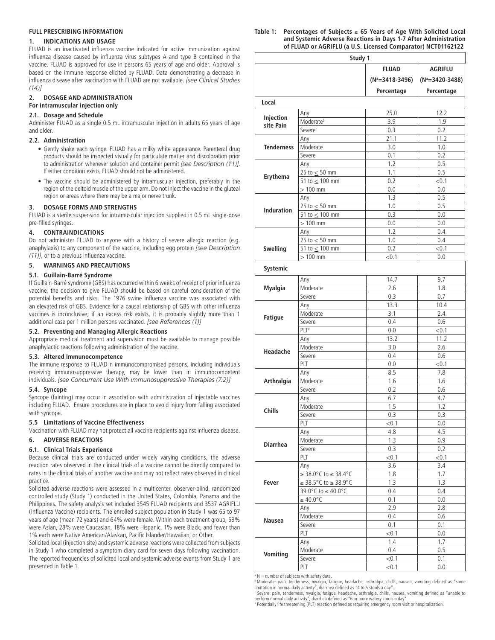# **FULL PRESCRIBING INFORMATION**

### **1. INDICATIONS AND USAGE**

FLUAD is an inactivated influenza vaccine indicated for active immunization against influenza disease caused by influenza virus subtypes A and type B contained in the vaccine. FLUAD is approved for use in persons 65 years of age and older. Approval is based on the immune response elicited by FLUAD. Data demonstrating a decrease in influenza disease after vaccination with FLUAD are not available. *[see Clinical Studies (14)]*

# **2. DOSAGE AND ADMINISTRATION**

# **For intramuscular injection only**

# **2.1. Dosage and Schedule**

Administer FLUAD as a single 0.5 mL intramuscular injection in adults 65 years of age and older.

## **2.2. Administration**

- Gently shake each syringe. FLUAD has a milky white appearance. Parenteral drug products should be inspected visually for particulate matter and discoloration prior to administration whenever solution and container permit *[see Description (11)]*. If either condition exists, FLUAD should not be administered.
- The vaccine should be administered by intramuscular injection, preferably in the region of the deltoid muscle of the upper arm. Do not inject the vaccine in the gluteal region or areas where there may be a major nerve trunk.

# **3. DOSAGE FORMS AND STRENGTHS**

FLUAD is a sterile suspension for intramuscular injection supplied in 0.5 mL single-dose pre-filled syringes.

## **4. CONTRAINDICATIONS**

Do not administer FLUAD to anyone with a history of severe allergic reaction (e.g. anaphylaxis) to any component of the vaccine, including egg protein *[see Description (11)]*, or to a previous influenza vaccine.

# **5. WARNINGS AND PRECAUTIONS**

## **5.1. Guillain-Barré Syndrome**

If Guillain-Barré syndrome (GBS) has occurred within 6 weeks of receipt of prior influenza vaccine, the decision to give FLUAD should be based on careful consideration of the potential benefits and risks. The 1976 swine influenza vaccine was associated with an elevated risk of GBS. Evidence for a causal relationship of GBS with other influenza vaccines is inconclusive; if an excess risk exists, it is probably slightly more than 1 additional case per 1 million persons vaccinated. *[see References (1)]*

### **5.2. Preventing and Managing Allergic Reactions**

Appropriate medical treatment and supervision must be available to manage possible anaphylactic reactions following administration of the vaccine.

# **5.3. Altered Immunocompetence**

The immune response to FLUAD in immunocompromised persons, including individuals receiving immunosuppressive therapy, may be lower than in immunocompetent individuals. *[see Concurrent Use With Immunosuppressive Therapies (7.2)]*

# **5.4. Syncope**

Syncope (fainting) may occur in association with administration of injectable vaccines including FLUAD. Ensure procedures are in place to avoid injury from falling associated with syncope.

#### **5.5 Limitations of Vaccine Effectiveness**

Vaccination with FLUAD may not protect all vaccine recipients against influenza disease.

# **6. ADVERSE REACTIONS**

### **6.1. Clinical Trials Experience**

Because clinical trials are conducted under widely varying conditions, the adverse reaction rates observed in the clinical trials of a vaccine cannot be directly compared to rates in the clinical trials of another vaccine and may not reflect rates observed in clinical practice.

Solicited adverse reactions were assessed in a multicenter, observer-blind, randomized controlled study (Study 1) conducted in the United States, Colombia, Panama and the Philippines. The safety analysis set included 3545 FLUAD recipients and 3537 AGRIFLU (Influenza Vaccine) recipients. The enrolled subject population in Study 1 was 65 to 97 years of age (mean 72 years) and 64% were female. Within each treatment group, 53% were Asian, 28% were Caucasian, 18% were Hispanic, 1% were Black, and fewer than 1% each were Native American/Alaskan, Pacific Islander/Hawaiian, or Other.

Solicited local (injection site) and systemic adverse reactions were collected from subjects in Study 1 who completed a symptom diary card for seven days following vaccination. The reported frequencies of solicited local and systemic adverse events from Study 1 are presented in Table 1.

| Table 1: | Percentages of Subjects $\geq$ 65 Years of Age With Solicited Local |
|----------|---------------------------------------------------------------------|
|          | and Systemic Adverse Reactions in Days 1-7 After Administration     |
|          | of FLUAD or AGRIFLU (a U.S. Licensed Comparator) NCT01162122        |

|                   | Study 1                                  |                       |                       |
|-------------------|------------------------------------------|-----------------------|-----------------------|
|                   |                                          | <b>FLUAD</b>          | <b>AGRIFLU</b>        |
|                   |                                          | $(N^a = 3418 - 3496)$ | $(N^a = 3420 - 3488)$ |
|                   |                                          | Percentage            | Percentage            |
|                   |                                          |                       |                       |
| Local             |                                          |                       |                       |
| Injection         | Any                                      | 25.0                  | 12.2                  |
| site Pain         | Moderateb                                | 3.9                   | 1.9                   |
|                   | Severe <sup>c</sup>                      | 0.3                   | 0.2                   |
|                   | Any                                      | 21.1                  | 11.2                  |
| <b>Tenderness</b> | Moderate                                 | 3.0                   | 1.0                   |
|                   | Severe                                   | 0.1                   | 0.2                   |
|                   | Any                                      | 1.2                   | 0.5                   |
| Erythema          | 25 to $\leq$ 50 mm                       | 1.1                   | 0.5                   |
|                   | 51 to $\leq$ 100 mm                      | 0.2                   | < 0.1                 |
|                   | $>100$ mm                                | 0.0                   | 0.0                   |
|                   | Any                                      | 1.3                   | 0.5                   |
| <b>Induration</b> | 25 to $\leq 50$ mm                       | 1.0                   | 0.5                   |
|                   | $51 \text{ to } \leq 100 \text{ mm}$     | 0.3                   | 0.0                   |
|                   | $>100$ mm                                | 0.0                   | 0.0                   |
|                   | Any                                      | 1.2                   | 0.4                   |
|                   | 25 to $\leq$ 50 mm                       | 1.0                   | 0.4                   |
| <b>Swelling</b>   | 51 to $\leq$ 100 mm                      | 0.2                   | < 0.1                 |
|                   | $>100$ mm                                | < 0.1                 | 0.0                   |
| Systemic          |                                          |                       |                       |
|                   | Any                                      | 14.7                  | 9.7                   |
| <b>Myalgia</b>    | Moderate                                 | 2.6                   | 1.8                   |
|                   | Severe                                   | 0.3                   | 0.7                   |
|                   | Any                                      | 13.3                  | 10.4                  |
|                   | Moderate                                 | 3.1                   | 2.4                   |
| <b>Fatigue</b>    |                                          |                       |                       |
|                   | Severe<br>PLT <sup>d</sup>               | 0.4                   | 0.6                   |
|                   |                                          | 0.0                   | < 0.1                 |
|                   | Any                                      | 13.2                  | 11.2                  |
| Headache          | Moderate                                 | 3.0                   | 2.6                   |
|                   | Severe                                   | 0.4                   | 0.6                   |
|                   | PLT                                      | 0.0                   | < 0.1                 |
|                   | Any                                      | 8.5                   | 7.8                   |
| Arthralgia        | Moderate                                 | 1.6                   | 1.6                   |
|                   | Severe                                   | 0.2                   | 0.6                   |
|                   | Any                                      | 6.7                   | 4.7                   |
| Chills            | Moderate                                 | 1.5                   | 1.2                   |
|                   | Severe                                   | $\overline{0.3}$      | 0.3                   |
|                   | PLT                                      | < 0.1                 | 0.0                   |
|                   | Any                                      | 4.8                   | 4.5                   |
| <b>Diarrhea</b>   | Moderate                                 | 1.3                   | 0.9                   |
|                   | Severe                                   | 0.3                   | 0.2                   |
|                   | PLT                                      | < 0.1                 | < 0.1                 |
|                   | Any                                      | 3.6                   | 3.4                   |
|                   | $\geq$ 38.0°C to $\leq$ 38.4°C           | 1.8                   | 1.7                   |
| Fever             | $\geq$ 38.5°C to $\leq$ 38.9°C           | 1.3                   | 1.3                   |
|                   | 39.0°C to $\leq 40.0^{\circ} \mathsf{C}$ | 0.4                   | 0.4                   |
|                   | $\geq 40.0$ °C                           | 0.1                   | 0.0                   |
|                   | Any                                      | 2.9                   | 2.8                   |
|                   | Moderate                                 | 0.4                   | 0.6                   |
| Nausea            | Severe                                   | 0.1                   | 0.1                   |
|                   | PLT                                      | < 0.1                 | 0.0                   |
|                   | Any                                      | 1.4                   | 1.7                   |
|                   | Moderate                                 | 0.4                   | 0.5                   |
| <b>Vomiting</b>   | Severe                                   | < 0.1                 | 0.1                   |
|                   | PLT                                      | < 0.1                 | 0.0                   |
|                   |                                          |                       |                       |

<sup>a</sup> N = number of subjects with safety data.

b Moderate: pain, tenderness, myalgia, fatigue, headache, arthralgia, chills, nausea, vomiting defined as "some limitation in normal daily activity", diarrhea defined as "4 to 5 stools a day".

c Severe: pain, tenderness, myalgia, fatigue, headache, arthralgia, chills, nausea, vomiting defined as "unable to

perform normal daily activity", diarrhea defined as "6 or more watery stools a day". d Potentially life threatening (PLT) reaction defined as requiring emergency room visit or hospitalization.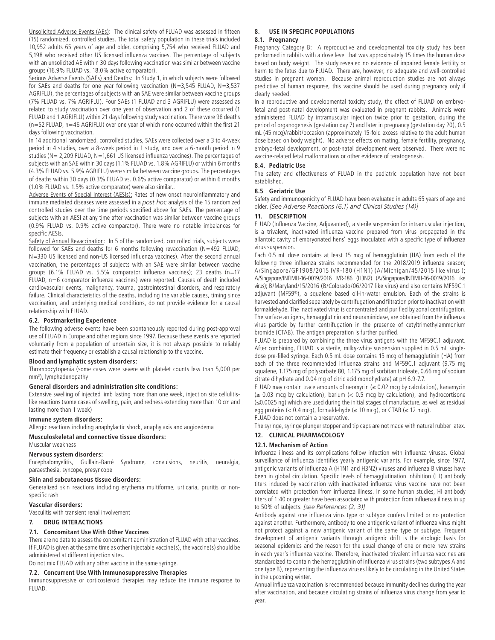Unsolicited Adverse Events (AEs): The clinical safety of FLUAD was assessed in fifteen (15) randomized, controlled studies. The total safety population in these trials included 10,952 adults 65 years of age and older, comprising 5,754 who received FLUAD and 5,198 who received other US licensed influenza vaccines. The percentage of subjects with an unsolicited AE within 30 days following vaccination was similar between vaccine groups (16.9% FLUAD vs. 18.0% active comparator).

Serious Adverse Events (SAEs) and Deaths: In Study 1, in which subjects were followed for SAEs and deaths for one year following vaccination (N=3,545 FLUAD, N=3,537 AGRIFLU), the percentages of subjects with an SAE were similar between vaccine groups (7% FLUAD vs. 7% AGRIFLU). Four SAEs (1 FLUAD and 3 AGRIFLU) were assessed as related to study vaccination over one year of observation and 2 of these occurred (1 FLUAD and 1 AGRIFLU) within 21 days following study vaccination. There were 98 deaths (n=52 FLUAD, n=46 AGRIFLU) over one year of which none occurred within the first 21 days following vaccination.

In 14 additional randomized, controlled studies, SAEs were collected over a 3 to 4-week period in 4 studies, over a 8-week period in 1 study, and over a 6-month period in 9 studies (N= 2,209 FLUAD, N=1,661 US licensed influenza vaccines). The percentages of subjects with an SAE within 30 days (1.1% FLUAD vs. 1.8% AGRIFLU) or within 6 months (4.3% FLUAD vs. 5.9% AGRIFLU) were similar between vaccine groups. The percentages of deaths within 30 days (0.3% FLUAD vs. 0.6% active comparator) or within 6 months (1.0% FLUAD vs. 1.5% active comparator) were also similar..

Adverse Events of Special Interest (AESIs): Rates of new onset neuroinflammatory and immune mediated diseases were assessed in a *post hoc* analysis of the 15 randomized controlled studies over the time periods specified above for SAEs. The percentage of subjects with an AESI at any time after vaccination was similar between vaccine groups (0.9% FLUAD vs. 0.9% active comparator). There were no notable imbalances for specific AESIs.

Safety of Annual Revaccination: In 5 of the randomized, controlled trials, subjects were followed for SAEs and deaths for 6 months following revaccination (N=492 FLUAD, N=330 US licensed and non-US licensed influenza vaccines). After the second annual vaccination, the percentages of subjects with an SAE were similar between vaccine groups (6.1% FLUAD vs. 5.5% comparator influenza vaccines); 23 deaths (n=17 FLUAD, n=6 comparator influenza vaccines) were reported. Causes of death included cardiovascular events, malignancy, trauma, gastrointestinal disorders, and respiratory failure. Clinical characteristics of the deaths, including the variable causes, timing since vaccination, and underlying medical conditions, do not provide evidence for a causal relationship with FLUAD.

### **6.2. Postmarketing Experience**

The following adverse events have been spontaneously reported during post-approval use of FLUAD in Europe and other regions since 1997. Because these events are reported voluntarily from a population of uncertain size, it is not always possible to reliably estimate their frequency or establish a causal relationship to the vaccine.

### **Blood and lymphatic system disorders:**

Thrombocytopenia (some cases were severe with platelet counts less than 5,000 per mm3 ), lymphadenopathy

#### **General disorders and administration site conditions:**

Extensive swelling of injected limb lasting more than one week, injection site cellulitislike reactions (some cases of swelling, pain, and redness extending more than 10 cm and lasting more than 1 week)

#### **Immune system disorders:**

Allergic reactions including anaphylactic shock, anaphylaxis and angioedema

**Musculoskeletal and connective tissue disorders:**

Muscular weakness

# **Nervous system disorders:**

Encephalomyelitis, Guillain-Barré Syndrome, convulsions, neuritis, neuralgia, paraesthesia, syncope, presyncope

#### **Skin and subcutaneous tissue disorders:**

Generalized skin reactions including erythema multiforme, urticaria, pruritis or nonspecific rash

#### **Vascular disorders:**

Vasculitis with transient renal involvement

#### **7. DRUG INTERACTIONS**

# **7.1. Concomitant Use With Other Vaccines**

There are no data to assess the concomitant administration of FLUAD with other vaccines. If FLUAD is given at the same time as other injectable vaccine(s), the vaccine(s) should be administered at different injection sites.

Do not mix FLUAD with any other vaccine in the same syringe.

# **7.2. Concurrent Use With Immunosuppressive Therapies**

Immunosuppressive or corticosteroid therapies may reduce the immune response to FLUAD.

# **8. USE IN SPECIFIC POPULATIONS 8.1. Pregnancy**

Pregnancy Category B: A reproductive and developmental toxicity study has been performed in rabbits with a dose level that was approximately 15 times the human dose based on body weight. The study revealed no evidence of impaired female fertility or harm to the fetus due to FLUAD. There are, however, no adequate and well-controlled studies in pregnant women. Because animal reproduction studies are not always predictive of human response, this vaccine should be used during pregnancy only if clearly needed.

In a reproductive and developmental toxicity study, the effect of FLUAD on embryofetal and post-natal development was evaluated in pregnant rabbits. Animals were administered FLUAD by intramuscular injection twice prior to gestation, during the period of organogenesis (gestation day 7) and later in pregnancy (gestation day 20), 0.5 mL (45 mcg)/rabbit/occasion (approximately 15-fold excess relative to the adult human dose based on body weight). No adverse effects on mating, female fertility, pregnancy, embryo-fetal development, or post-natal development were observed. There were no vaccine-related fetal malformations or other evidence of teratogenesis.

#### **8.4. Pediatric Use**

The safety and effectiveness of FLUAD in the pediatric population have not been established.

#### **8.5 Geriatric Use**

Safety and immunogenicity of FLUAD have been evaluated in adults 65 years of age and older. *[See Adverse Reactions (6.1) and Clinical Studies (14)]*

#### **11. DESCRIPTION**

FLUAD (Influenza Vaccine, Adjuvanted), a sterile suspension for intramuscular injection, is a trivalent, inactivated influenza vaccine prepared from virus propagated in the allantoic cavity of embryonated hens' eggs inoculated with a specific type of influenza virus suspension.

Each 0.5 mL dose contains at least 15 mcg of hemagglutinin (HA) from each of the following three influenza strains recommended for the 2018/2019 influenza season; A/Singapore/GP1908/2015 IVR-180 (H1N1) (A/Michigan/45/2015 like virus ); A/Singapore/INFIMH-16-0019/2016 IVR-186 (H3N2) (A/Singapore/INFIMH-16-0019/2016 like virus); B/Maryland/15/2016 (B/Colorado/06/2017 like virus) and also contains MF59C.1 adjuvant (MF59®), a squalene based oil-in-water emulsion. Each of the strains is harvested and clarified separately by centrifugation and filtration prior to inactivation with formaldehyde. The inactivated virus is concentrated and purified by zonal centrifugation. The surface antigens, hemagglutinin and neuraminidase, are obtained from the influenza virus particle by further centrifugation in the presence of cetyltrimethylammonium bromide (CTAB). The antigen preparation is further purified.

FLUAD is prepared by combining the three virus antigens with the MF59C.1 adjuvant. After combining, FLUAD is a sterile, milky-white suspension supplied in 0.5 mL singledose pre-filled syringe. Each 0.5 mL dose contains 15 mcg of hemagglutinin (HA) from each of the three recommended influenza strains and MF59C.1 adjuvant (9.75 mg squalene, 1.175 mg of polysorbate 80, 1.175 mg of sorbitan trioleate, 0.66 mg of sodium citrate dihydrate and 0.04 mg of citric acid monohydrate) at pH 6.9-7.7.

FLUAD may contain trace amounts of neomycin ( $\leq$  0.02 mcg by calculation), kanamycin  $(\leq 0.03$  mcg by calculation), barium  $(< 0.5$  mcg by calculation), and hydrocortisone (≤0.0025 ng) which are used during the initial stages of manufacture, as well as residual egg proteins (< 0.4 mcg), formaldehyde (≤ 10 mcg), or CTAB (≤ 12 mcg).

FLUAD does not contain a preservative.

The syringe, syringe plunger stopper and tip caps are not made with natural rubber latex. **12. CLINICAL PHARMACOLOGY**

# **12.1. Mechanism of Action**

Influenza illness and its complications follow infection with influenza viruses. Global surveillance of influenza identifies yearly antigenic variants. For example, since 1977, antigenic variants of influenza A (H1N1 and H3N2) viruses and influenza B viruses have been in global circulation. Specific levels of hemagglutination inhibition (HI) antibody titers induced by vaccination with inactivated influenza virus vaccine have not been correlated with protection from influenza illness. In some human studies, HI antibody titers of 1:40 or greater have been associated with protection from influenza illness in up to 50% of subjects. *[see References (2, 3)]*

Antibody against one influenza virus type or subtype confers limited or no protection against another. Furthermore, antibody to one antigenic variant of influenza virus might not protect against a new antigenic variant of the same type or subtype. Frequent development of antigenic variants through antigenic drift is the virologic basis for seasonal epidemics and the reason for the usual change of one or more new strains in each year's influenza vaccine. Therefore, inactivated trivalent influenza vaccines are standardized to contain the hemagglutinin of influenza virus strains (two subtypes A and one type B), representing the influenza viruses likely to be circulating in the United States in the upcoming winter.

Annual influenza vaccination is recommended because immunity declines during the year after vaccination, and because circulating strains of influenza virus change from year to year.